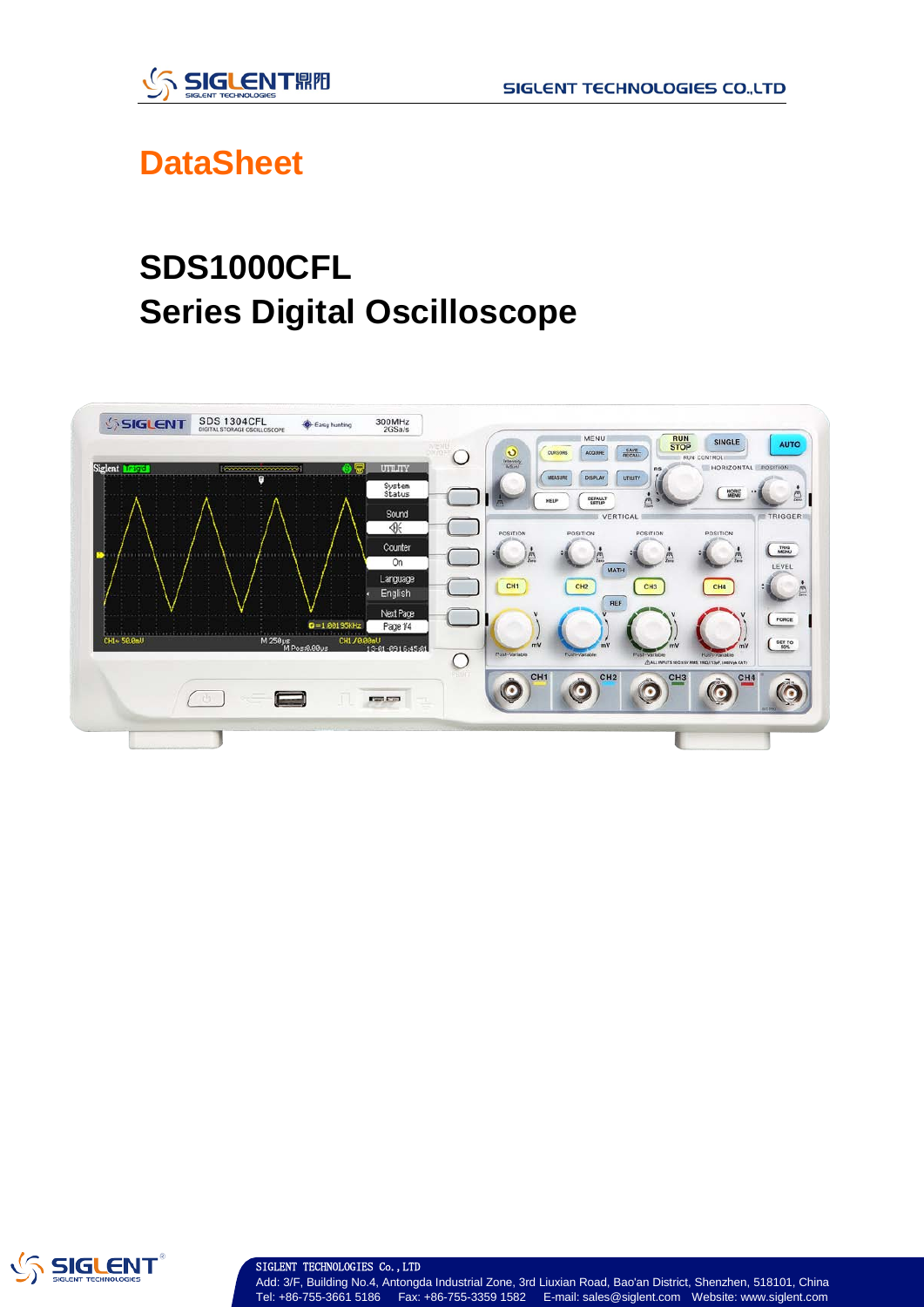

## **DataSheet**

# **SDS1000CFL Series Digital Oscilloscope**





SIGLENT TECHNOLOGIES Co.,LTD Add: 3/F, Building No.4, Antongda Industrial Zone, 3rd Liuxian Road, Bao'an District, Shenzhen, 518101, China Tel: +86-755-3661 5186 Fax: +86-755-3359 1582 E-mail: sales@siglent.com Website: www.siglent.com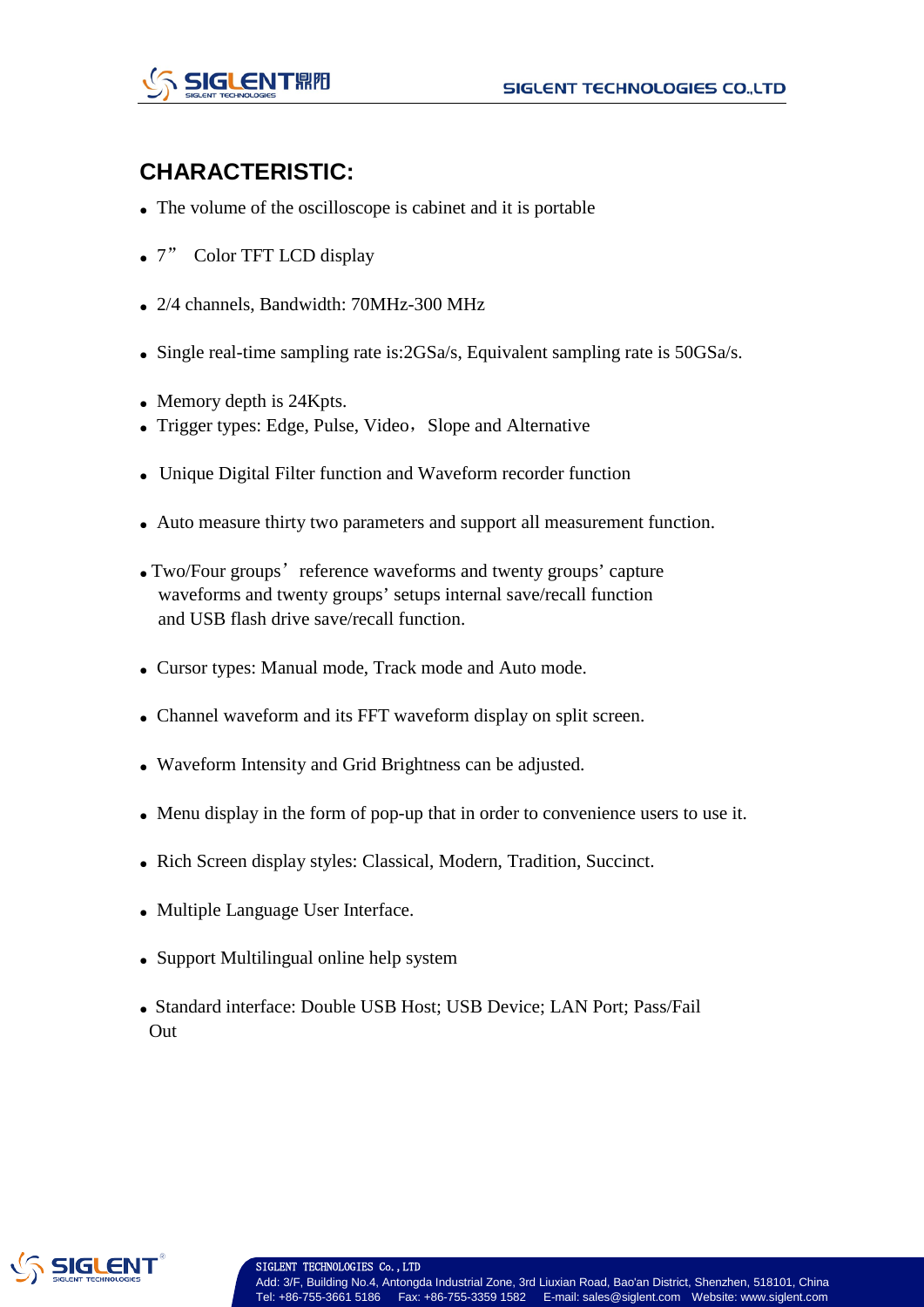

## **CHARACTERISTIC:**

- The volume of the oscilloscope is cabinet and it is portable
- 7" Color TFT LCD display
- 2/4 channels, Bandwidth: 70MHz-300 MHz
- Single real-time sampling rate is:2GSa/s, Equivalent sampling rate is 50GSa/s.
- Memory depth is  $24Kpts$ .
- Trigger types: Edge, Pulse, Video, Slope and Alternative
- Unique Digital Filter function and Waveform recorder function
- Auto measure thirty two parameters and support all measurement function.
- Two/Four groups' reference waveforms and twenty groups' capture waveforms and twenty groups' setups internal save/recall function and USB flash drive save/recall function.
- Cursor types: Manual mode, Track mode and Auto mode.
- Channel waveform and its FFT waveform display on split screen.
- Waveform Intensity and Grid Brightness can be adjusted.
- Menu display in the form of pop-up that in order to convenience users to use it.
- Rich Screen display styles: Classical, Modern, Tradition, Succinct.
- Multiple Language User Interface.
- Support Multilingual online help system
- Standard interface: Double USB Host; USB Device; LAN Port; Pass/Fail Out

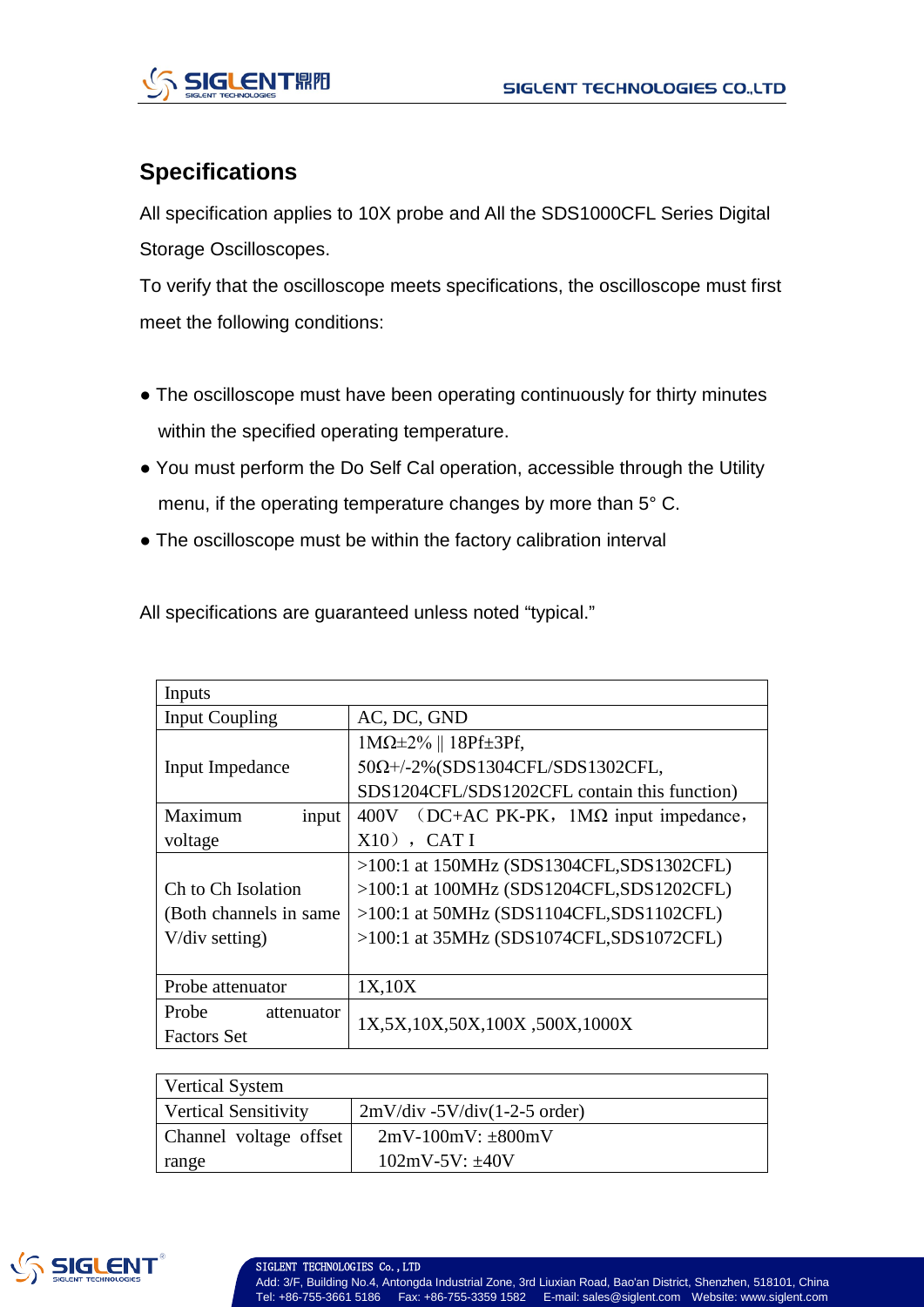

## **Specifications**

All specification applies to 10X probe and All the SDS1000CFL Series Digital Storage Oscilloscopes.

To verify that the oscilloscope meets specifications, the oscilloscope must first meet the following conditions:

- The oscilloscope must have been operating continuously for thirty minutes within the specified operating temperature.
- You must perform the Do Self Cal operation, accessible through the Utility menu, if the operating temperature changes by more than 5° C.
- The oscilloscope must be within the factory calibration interval

All specifications are guaranteed unless noted "typical."

| Inputs                  |                                                      |  |  |  |
|-------------------------|------------------------------------------------------|--|--|--|
| <b>Input Coupling</b>   | AC, DC, GND                                          |  |  |  |
|                         | $1MΩ±2%$    18Pf±3Pf,                                |  |  |  |
| Input Impedance         | $50\Omega$ +/-2%(SDS1304CFL/SDS1302CFL,              |  |  |  |
|                         | SDS1204CFL/SDS1202CFL contain this function)         |  |  |  |
| Maximum<br>input        | ( $DC+AC$ PK-PK, $1M\Omega$ input impedance,<br>400V |  |  |  |
| voltage                 | $X10)$ , CATI                                        |  |  |  |
|                         | $>100:1$ at 150MHz (SDS1304CFL, SDS1302CFL)          |  |  |  |
| Ch to Ch Isolation      | $>100$ :1 at 100MHz (SDS1204CFL, SDS1202CFL)         |  |  |  |
| (Both channels in same) | $>100$ :1 at 50MHz (SDS1104CFL,SDS1102CFL)           |  |  |  |
| $V$ /div setting)       | $>100$ :1 at 35MHz (SDS1074CFL,SDS1072CFL)           |  |  |  |
|                         |                                                      |  |  |  |
| Probe attenuator        | 1X,10X                                               |  |  |  |
| Probe<br>attenuator     | 1X, 5X, 10X, 50X, 100X, 500X, 1000X                  |  |  |  |
| <b>Factors Set</b>      |                                                      |  |  |  |

| Vertical System        |                                 |  |
|------------------------|---------------------------------|--|
| Vertical Sensitivity   | $2mV$ /div -5V/div(1-2-5 order) |  |
| Channel voltage offset | $2mV-100mV: \pm 800mV$          |  |
| range                  | $102mV-5V: \pm 40V$             |  |

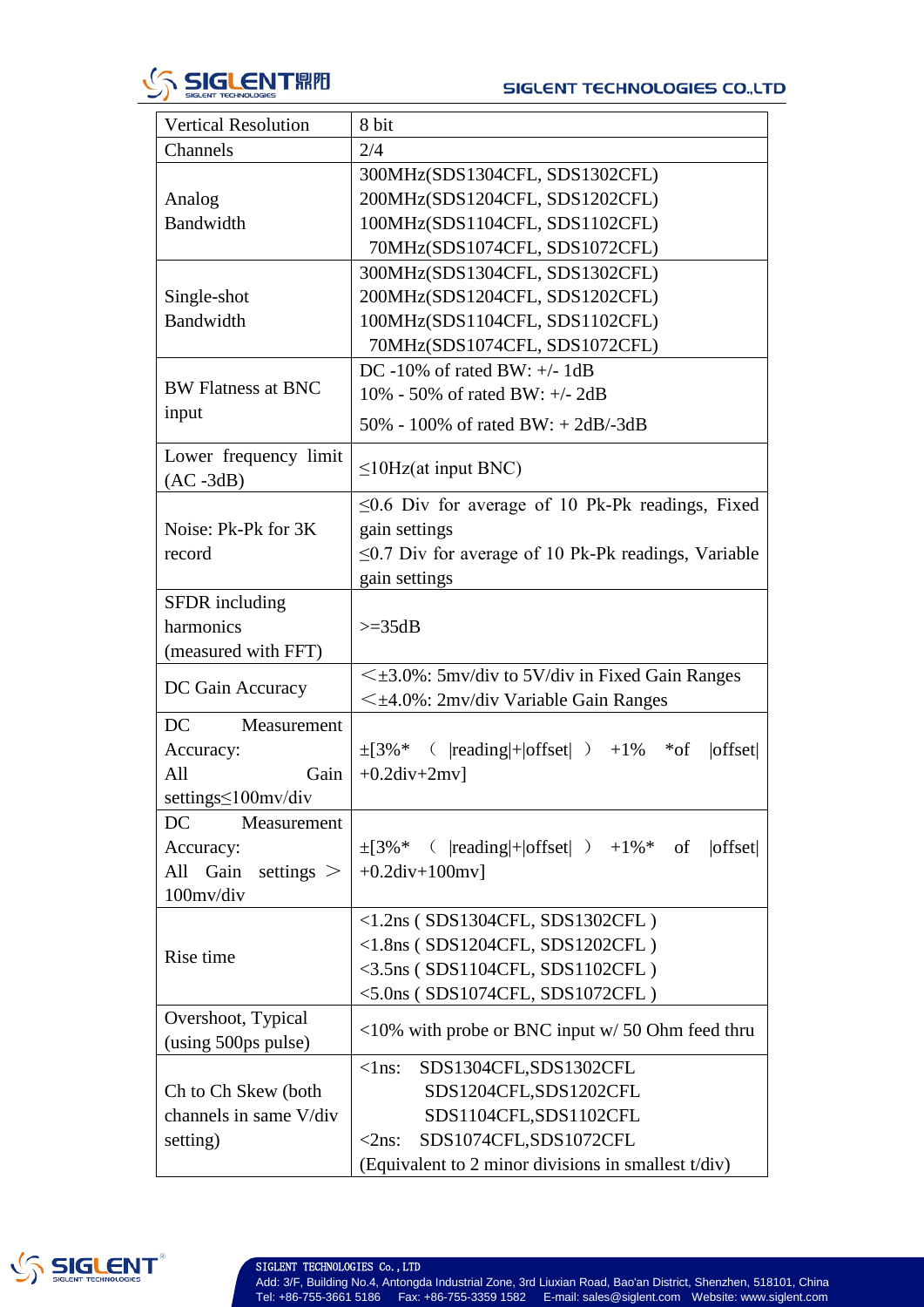

| <b>Vertical Resolution</b> | 8 bit                                                       |  |  |  |
|----------------------------|-------------------------------------------------------------|--|--|--|
| Channels                   | 2/4                                                         |  |  |  |
|                            | 300MHz(SDS1304CFL, SDS1302CFL)                              |  |  |  |
| Analog                     | 200MHz(SDS1204CFL, SDS1202CFL)                              |  |  |  |
| Bandwidth                  | 100MHz(SDS1104CFL, SDS1102CFL)                              |  |  |  |
|                            | 70MHz(SDS1074CFL, SDS1072CFL)                               |  |  |  |
|                            | 300MHz(SDS1304CFL, SDS1302CFL)                              |  |  |  |
| Single-shot                | 200MHz(SDS1204CFL, SDS1202CFL)                              |  |  |  |
| Bandwidth                  | 100MHz(SDS1104CFL, SDS1102CFL)                              |  |  |  |
|                            | 70MHz(SDS1074CFL, SDS1072CFL)                               |  |  |  |
|                            | DC -10% of rated BW: $+/- 1dB$                              |  |  |  |
| <b>BW Flatness at BNC</b>  | 10% - 50% of rated BW: $+/- 2dB$                            |  |  |  |
| input                      | 50% - 100% of rated BW: $+ 2dB/-3dB$                        |  |  |  |
| Lower frequency limit      | $\leq$ 10Hz(at input BNC)                                   |  |  |  |
| $(AC -3dB)$                |                                                             |  |  |  |
|                            | $\leq 0.6$ Div for average of 10 Pk-Pk readings, Fixed      |  |  |  |
| Noise: Pk-Pk for 3K        | gain settings                                               |  |  |  |
| record                     | $\leq$ 0.7 Div for average of 10 Pk-Pk readings, Variable   |  |  |  |
|                            | gain settings                                               |  |  |  |
| <b>SFDR</b> including      |                                                             |  |  |  |
| harmonics                  | $>=35dB$                                                    |  |  |  |
| (measured with FFT)        |                                                             |  |  |  |
| DC Gain Accuracy           | $\leq \pm 3.0\%$ : 5mv/div to 5V/div in Fixed Gain Ranges   |  |  |  |
|                            | <±4.0%: 2mv/div Variable Gain Ranges                        |  |  |  |
| DC<br>Measurement          |                                                             |  |  |  |
| Accuracy:                  | $\pm$ [3%* (  reading + offset  ) +1%<br> offset <br>$*$ of |  |  |  |
| Gain<br>All                | $+0.2div+2mv$ ]                                             |  |  |  |
| settings <2100mv/div       |                                                             |  |  |  |
| DC<br>Measurement          |                                                             |  |  |  |
| Accuracy:                  | $\pm$ [3%* (  reading + offset  ) +1%* of<br> offset        |  |  |  |
| All Gain<br>settings $>$   | $+0.2div+100mv$ ]                                           |  |  |  |
| 100mv/div                  |                                                             |  |  |  |
|                            | $\langle$ 1.2ns (SDS1304CFL, SDS1302CFL)                    |  |  |  |
| Rise time                  | $\langle$ 1.8ns (SDS1204CFL, SDS1202CFL)                    |  |  |  |
|                            | $<$ 3.5ns (SDS1104CFL, SDS1102CFL)                          |  |  |  |
|                            | $<$ 5.0ns (SDS1074CFL, SDS1072CFL)                          |  |  |  |
| Overshoot, Typical         | $\langle 10\%$ with probe or BNC input w/ 50 Ohm feed thru  |  |  |  |
| (using 500ps pulse)        |                                                             |  |  |  |
|                            | SDS1304CFL,SDS1302CFL<br>$\langle$ lns:                     |  |  |  |
| Ch to Ch Skew (both        | SDS1204CFL,SDS1202CFL                                       |  |  |  |
| channels in same V/div     | SDS1104CFL,SDS1102CFL                                       |  |  |  |
| setting)                   | SDS1074CFL,SDS1072CFL<br>$\langle 2ns:$                     |  |  |  |
|                            | (Equivalent to 2 minor divisions in smallest t/div)         |  |  |  |



Add: 3/F, Building No.4, Antongda Industrial Zone, 3rd Liuxian Road, Bao'an District, Shenzhen, 518101, China Tel: +86-755-3661 5186 Fax: +86-755-3359 1582 E-mail: sales@siglent.com Website: www.siglent.com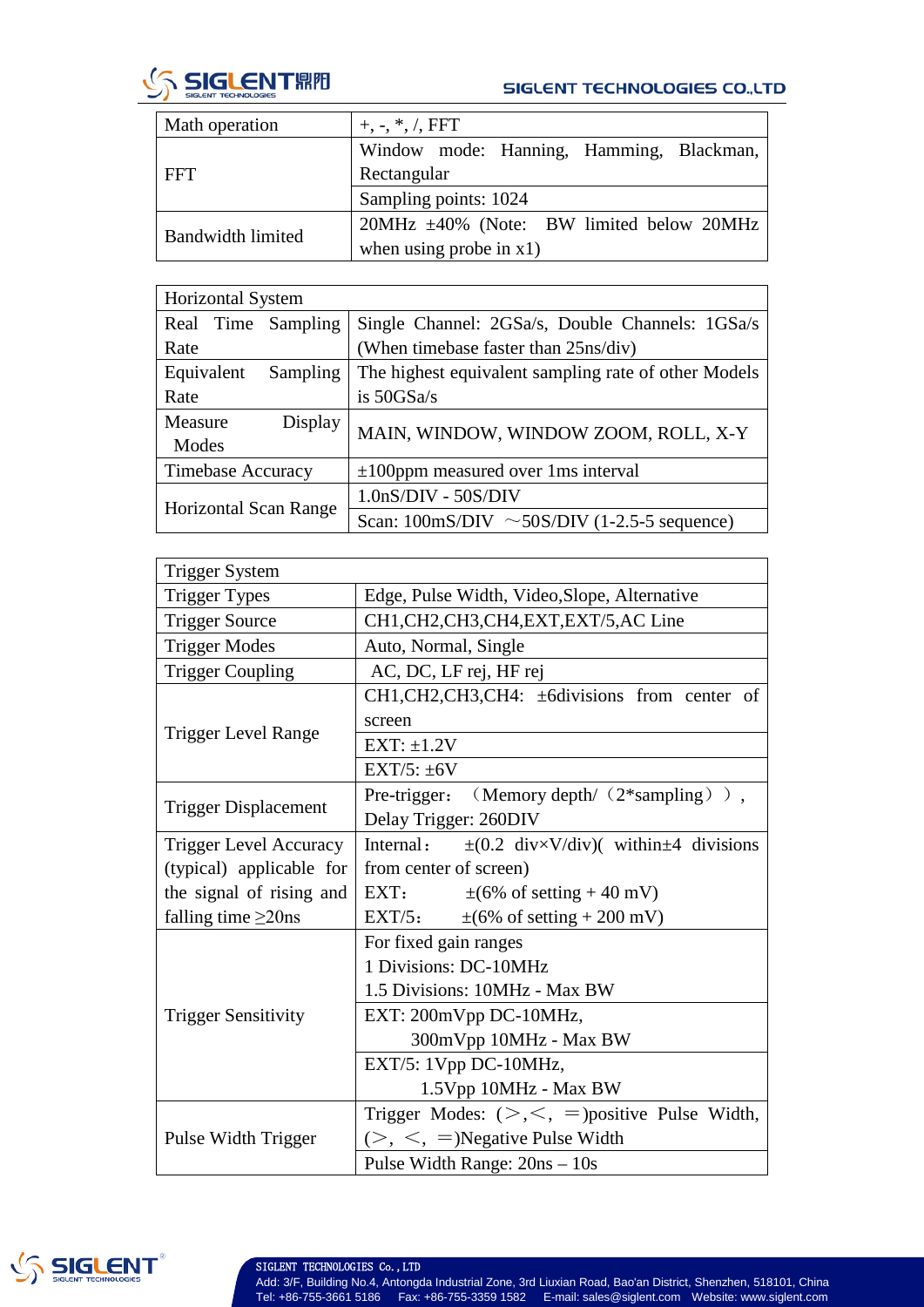

| Math operation    | $+, \, \cdot, \, ^*, \, /$ , FFT                 |  |  |  |
|-------------------|--------------------------------------------------|--|--|--|
| FFT               | Window mode: Hanning, Hamming, Blackman,         |  |  |  |
|                   | Rectangular                                      |  |  |  |
|                   | Sampling points: 1024                            |  |  |  |
| Bandwidth limited | $20MHz \pm 40\%$ (Note: BW limited below $20MHz$ |  |  |  |
|                   | when using probe in $x1$ )                       |  |  |  |

| <b>Horizontal System</b>     |                                                                   |  |  |
|------------------------------|-------------------------------------------------------------------|--|--|
| Real Time Sampling           | Single Channel: 2GSa/s, Double Channels: 1GSa/s                   |  |  |
| Rate                         | (When timebase faster than 25ns/div)                              |  |  |
| Equivalent<br>Sampling       | The highest equivalent sampling rate of other Models              |  |  |
| Rate                         | is $50GSa/s$                                                      |  |  |
| Measure<br>Display           | MAIN, WINDOW, WINDOW ZOOM, ROLL, X-Y                              |  |  |
| Modes                        |                                                                   |  |  |
| <b>Timebase Accuracy</b>     | $\pm 100$ ppm measured over 1 ms interval                         |  |  |
|                              | $1.0nS/DIV - 50S/DIV$                                             |  |  |
| <b>Horizontal Scan Range</b> | Scan: $100 \text{mS/DIV} \sim 50 \text{S/DIV}$ (1-2.5-5 sequence) |  |  |

| Trigger System                |                                                                                |  |  |
|-------------------------------|--------------------------------------------------------------------------------|--|--|
| <b>Trigger Types</b>          | Edge, Pulse Width, Video, Slope, Alternative                                   |  |  |
| <b>Trigger Source</b>         | CH1, CH2, CH3, CH4, EXT, EXT/5, AC Line                                        |  |  |
| <b>Trigger Modes</b>          | Auto, Normal, Single                                                           |  |  |
| <b>Trigger Coupling</b>       | AC, DC, LF rej, HF rej                                                         |  |  |
|                               | CH1, CH2, CH3, CH4: ±6divisions from center of                                 |  |  |
| <b>Trigger Level Range</b>    | screen                                                                         |  |  |
|                               | $EXT: \pm 1.2V$                                                                |  |  |
|                               | $EXT/5$ : $\pm 6V$                                                             |  |  |
| <b>Trigger Displacement</b>   | Pre-trigger: (Memory depth/ $(2*sampling)$ ),                                  |  |  |
|                               | Delay Trigger: 260DIV                                                          |  |  |
| <b>Trigger Level Accuracy</b> | Internal: $\pm (0.2 \text{div} \times V/\text{div})$ (within $\pm 4$ divisions |  |  |
| (typical) applicable for      | from center of screen)                                                         |  |  |
| the signal of rising and      | EXT: $\pm (6\% \text{ of setting} + 40 \text{ mV})$                            |  |  |
| falling time $\geq$ 20ns      | EXT/5: $\pm (6\% \text{ of setting} + 200 \text{ mV})$                         |  |  |
|                               | For fixed gain ranges                                                          |  |  |
|                               | 1 Divisions: DC-10MHz                                                          |  |  |
|                               | 1.5 Divisions: 10MHz - Max BW                                                  |  |  |
| <b>Trigger Sensitivity</b>    | EXT: 200mVpp DC-10MHz,                                                         |  |  |
|                               | 300mVpp 10MHz - Max BW                                                         |  |  |
|                               | EXT/5: 1Vpp DC-10MHz,                                                          |  |  |
|                               | 1.5Vpp 10MHz - Max BW                                                          |  |  |
|                               | Trigger Modes: $(>,<,=)$ positive Pulse Width,                                 |  |  |
| Pulse Width Trigger           | $(>, <, =)$ Negative Pulse Width                                               |  |  |
|                               | Pulse Width Range: 20ns - 10s                                                  |  |  |

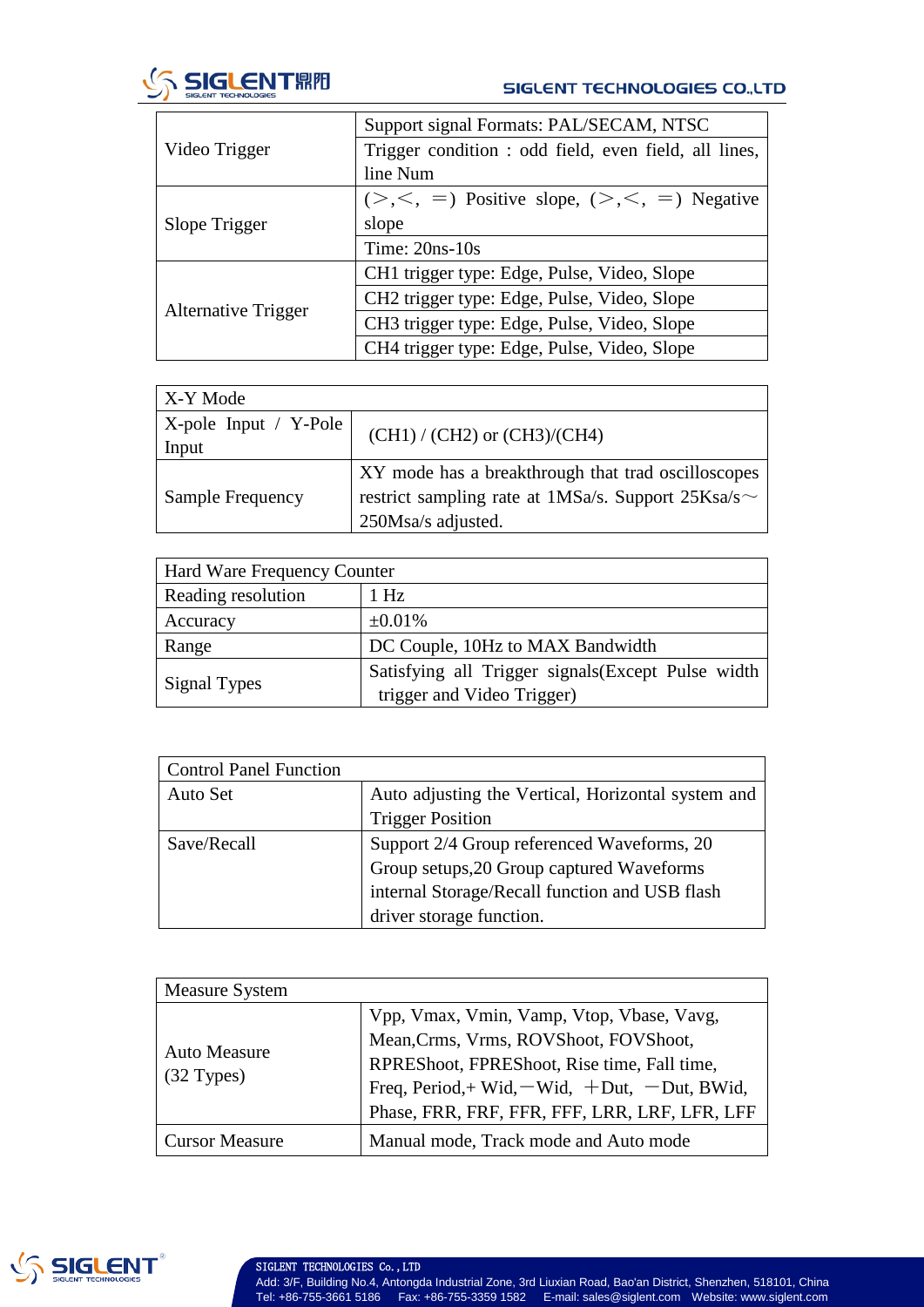

|                            | Support signal Formats: PAL/SECAM, NTSC                |  |  |
|----------------------------|--------------------------------------------------------|--|--|
| Video Trigger              | Trigger condition : odd field, even field, all lines,  |  |  |
|                            | line Num                                               |  |  |
|                            | $(\geq, <, =)$ Positive slope, $(\geq, <, =)$ Negative |  |  |
| Slope Trigger              | slope                                                  |  |  |
|                            | Time: $20ns-10s$                                       |  |  |
| <b>Alternative Trigger</b> | CH1 trigger type: Edge, Pulse, Video, Slope            |  |  |
|                            | CH2 trigger type: Edge, Pulse, Video, Slope            |  |  |
|                            | CH3 trigger type: Edge, Pulse, Video, Slope            |  |  |
|                            | CH4 trigger type: Edge, Pulse, Video, Slope            |  |  |

| X-Y Mode                    |                                                          |  |
|-----------------------------|----------------------------------------------------------|--|
| $X$ -pole Input / $Y$ -Pole | $(CH1) / (CH2)$ or $(CH3) / (CH4)$                       |  |
| Input                       |                                                          |  |
| Sample Frequency            | XY mode has a breakthrough that trad oscilloscopes       |  |
|                             | restrict sampling rate at 1MSa/s. Support $25Ksa/s \sim$ |  |
|                             | 250Msa/s adjusted.                                       |  |

| Hard Ware Frequency Counter |                                                    |  |
|-----------------------------|----------------------------------------------------|--|
| Reading resolution          | 1 Hz                                               |  |
| Accuracy                    | $\pm 0.01\%$                                       |  |
| Range                       | DC Couple, 10Hz to MAX Bandwidth                   |  |
| Signal Types                | Satisfying all Trigger signals (Except Pulse width |  |
|                             | trigger and Video Trigger)                         |  |

| <b>Control Panel Function</b> |                                                    |  |  |
|-------------------------------|----------------------------------------------------|--|--|
| Auto Set                      | Auto adjusting the Vertical, Horizontal system and |  |  |
|                               | <b>Trigger Position</b>                            |  |  |
| Save/Recall                   | Support 2/4 Group referenced Waveforms, 20         |  |  |
|                               | Group setups, 20 Group captured Waveforms          |  |  |
|                               | internal Storage/Recall function and USB flash     |  |  |
|                               | driver storage function.                           |  |  |

| <b>Measure System</b>                |                                                                                                                                                                                                                                             |
|--------------------------------------|---------------------------------------------------------------------------------------------------------------------------------------------------------------------------------------------------------------------------------------------|
| <b>Auto Measure</b><br>$(32)$ Types) | Vpp, Vmax, Vmin, Vamp, Vtop, Vbase, Vavg,<br>Mean, Crms, Vrms, ROVShoot, FOVShoot,<br>RPREShoot, FPREShoot, Rise time, Fall time,<br>Freq, Period, + Wid, $-Wid$ , $+$ Dut, $-Dut$ , BWid,<br>Phase, FRR, FRF, FFR, FFF, LRR, LRF, LFR, LFF |
| <b>Cursor Measure</b>                | Manual mode, Track mode and Auto mode                                                                                                                                                                                                       |

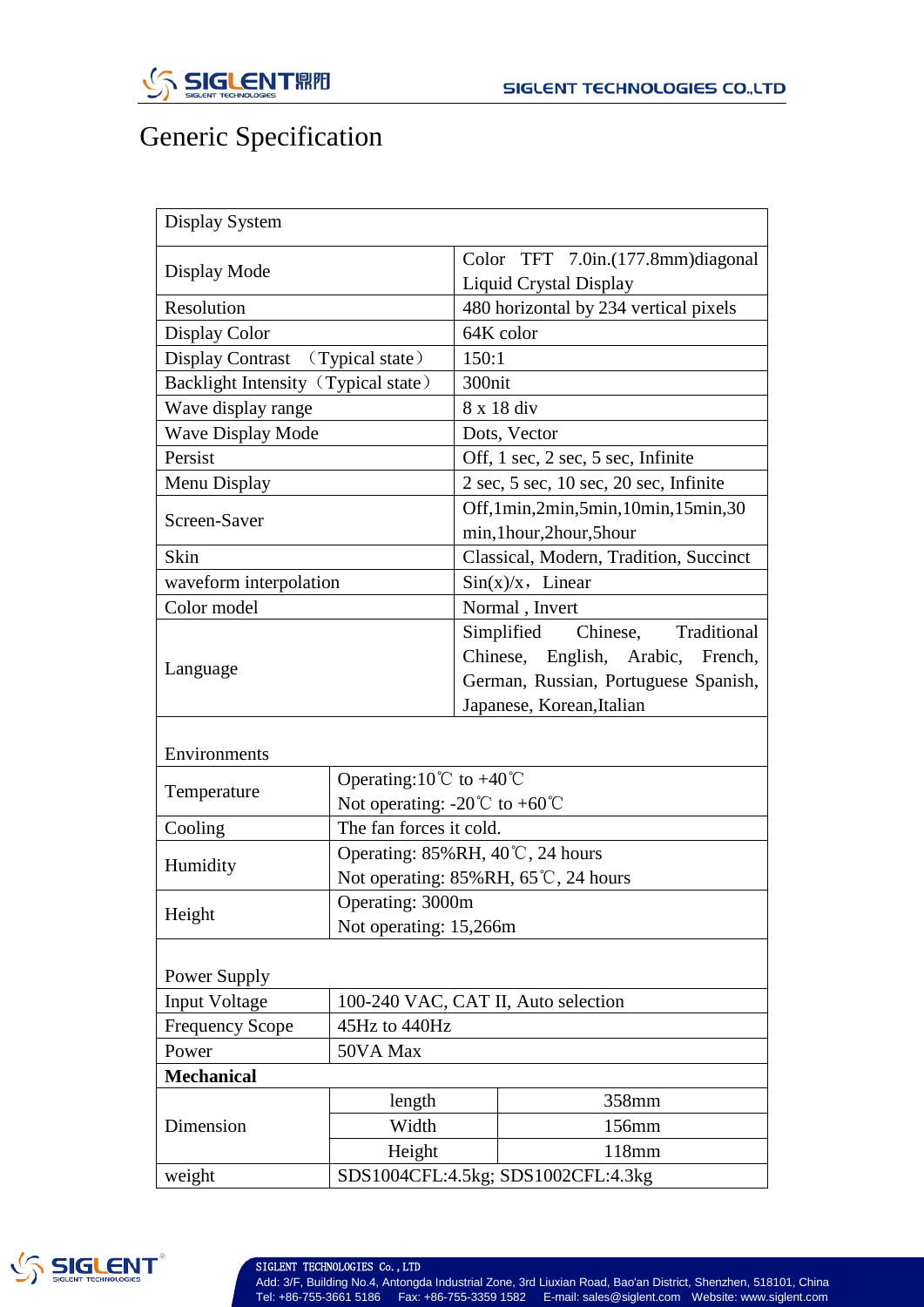

## Generic Specification

| Display System                                                   |                                                                          |                                                                          |                                         |  |
|------------------------------------------------------------------|--------------------------------------------------------------------------|--------------------------------------------------------------------------|-----------------------------------------|--|
| Display Mode                                                     |                                                                          | Color TFT 7.0in.(177.8mm)diagonal<br><b>Liquid Crystal Display</b>       |                                         |  |
| Resolution                                                       |                                                                          | 480 horizontal by 234 vertical pixels                                    |                                         |  |
| Display Color                                                    |                                                                          | 64K color                                                                |                                         |  |
| Display Contrast (Typical state)                                 |                                                                          | 150:1                                                                    |                                         |  |
| Backlight Intensity (Typical state)                              |                                                                          | 300 <sub>nit</sub>                                                       |                                         |  |
| Wave display range                                               |                                                                          | 8 x 18 div                                                               |                                         |  |
| <b>Wave Display Mode</b>                                         |                                                                          | Dots, Vector                                                             |                                         |  |
| Persist                                                          |                                                                          | Off, 1 sec, 2 sec, 5 sec, Infinite                                       |                                         |  |
| Menu Display                                                     |                                                                          | $2 \text{ sec}, 5 \text{ sec}, 10 \text{ sec}, 20 \text{ sec},$ Infinite |                                         |  |
|                                                                  |                                                                          |                                                                          | Off, 1min, 2min, 5min, 10min, 15min, 30 |  |
| Screen-Saver                                                     |                                                                          |                                                                          | min, 1hour, 2hour, 5hour                |  |
| Skin                                                             |                                                                          |                                                                          | Classical, Modern, Tradition, Succinct  |  |
| waveform interpolation                                           |                                                                          |                                                                          | $Sin(x)/x$ , Linear                     |  |
| Color model                                                      |                                                                          |                                                                          | Normal, Invert                          |  |
|                                                                  |                                                                          |                                                                          | Chinese,<br>Simplified<br>Traditional   |  |
|                                                                  |                                                                          | Chinese, English, Arabic, French,                                        |                                         |  |
| Language                                                         |                                                                          | German, Russian, Portuguese Spanish,                                     |                                         |  |
|                                                                  |                                                                          | Japanese, Korean, Italian                                                |                                         |  |
|                                                                  |                                                                          |                                                                          |                                         |  |
| Environments                                                     |                                                                          |                                                                          |                                         |  |
| Operating:10 <sup>°</sup> C to +40 <sup>°</sup> C<br>Temperature |                                                                          |                                                                          |                                         |  |
|                                                                  | Not operating: -20 $\degree$ C to +60 $\degree$ C                        |                                                                          |                                         |  |
| Cooling                                                          | The fan forces it cold.<br>Operating: $85\%RH$ , $40\degree$ C, 24 hours |                                                                          |                                         |  |
| Humidity                                                         |                                                                          |                                                                          |                                         |  |
|                                                                  | Operating: 3000m                                                         | Not operating: 85%RH, 65℃, 24 hours                                      |                                         |  |
| Height                                                           |                                                                          |                                                                          |                                         |  |
|                                                                  |                                                                          | Not operating: 15,266m                                                   |                                         |  |
| Power Supply                                                     |                                                                          |                                                                          |                                         |  |
| <b>Input Voltage</b>                                             | 100-240 VAC, CAT II, Auto selection                                      |                                                                          |                                         |  |
| <b>Frequency Scope</b>                                           | 45Hz to 440Hz                                                            |                                                                          |                                         |  |
| Power                                                            | 50VA Max                                                                 |                                                                          |                                         |  |
| <b>Mechanical</b>                                                |                                                                          |                                                                          |                                         |  |
| Dimension                                                        | length                                                                   |                                                                          | 358mm                                   |  |
|                                                                  | Width                                                                    |                                                                          | 156mm                                   |  |
|                                                                  | Height                                                                   |                                                                          | 118mm                                   |  |
| weight                                                           | SDS1004CFL:4.5kg; SDS1002CFL:4.3kg                                       |                                                                          |                                         |  |



#### SIGLENT TECHNOLOGIES Co.,LTD

Add: 3/F, Building No.4, Antongda Industrial Zone, 3rd Liuxian Road, Bao'an District, Shenzhen, 518101, China Tel: +86-755-3661 5186 Fax: +86-755-3359 1582 E-mail: sales@siglent.com Website: www.siglent.com